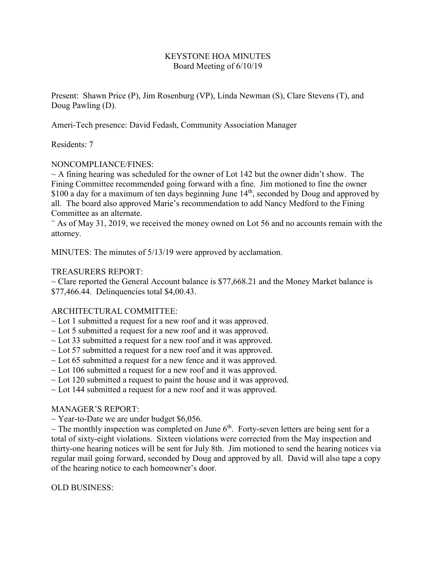# KEYSTONE HOA MINUTES Board Meeting of 6/10/19

Present: Shawn Price (P), Jim Rosenburg (VP), Linda Newman (S), Clare Stevens (T), and Doug Pawling (D).

Ameri-Tech presence: David Fedash, Community Association Manager

# Residents: 7

# NONCOMPLIANCE/FINES:

 $\sim$  A fining hearing was scheduled for the owner of Lot 142 but the owner didn't show. The Fining Committee recommended going forward with a fine. Jim motioned to fine the owner \$100 a day for a maximum of ten days beginning June 14<sup>th</sup>, seconded by Doug and approved by all. The board also approved Marie's recommendation to add Nancy Medford to the Fining Committee as an alternate.

 $\tilde{\phantom{a}}$  As of May 31, 2019, we received the money owned on Lot 56 and no accounts remain with the attorney.

MINUTES: The minutes of 5/13/19 were approved by acclamation.

### TREASURERS REPORT:

 $\sim$  Clare reported the General Account balance is \$77,668.21 and the Money Market balance is \$77,466.44. Delinquencies total \$4,00.43.

### ARCHITECTURAL COMMITTEE:

- $\sim$  Lot 1 submitted a request for a new roof and it was approved.
- $\sim$  Lot 5 submitted a request for a new roof and it was approved.
- $\sim$  Lot 33 submitted a request for a new roof and it was approved.
- $\sim$  Lot 57 submitted a request for a new roof and it was approved.
- $\sim$  Lot 65 submitted a request for a new fence and it was approved.
- $\sim$  Lot 106 submitted a request for a new roof and it was approved.
- $\sim$  Lot 120 submitted a request to paint the house and it was approved.
- $\sim$  Lot 144 submitted a request for a new roof and it was approved.

### MANAGER'S REPORT:

 $\sim$  Year-to-Date we are under budget \$6,056.

 $\sim$  The monthly inspection was completed on June 6<sup>th</sup>. Forty-seven letters are being sent for a total of sixty-eight violations. Sixteen violations were corrected from the May inspection and thirty-one hearing notices will be sent for July 8th. Jim motioned to send the hearing notices via regular mail going forward, seconded by Doug and approved by all. David will also tape a copy of the hearing notice to each homeowner's door.

### OLD BUSINESS: